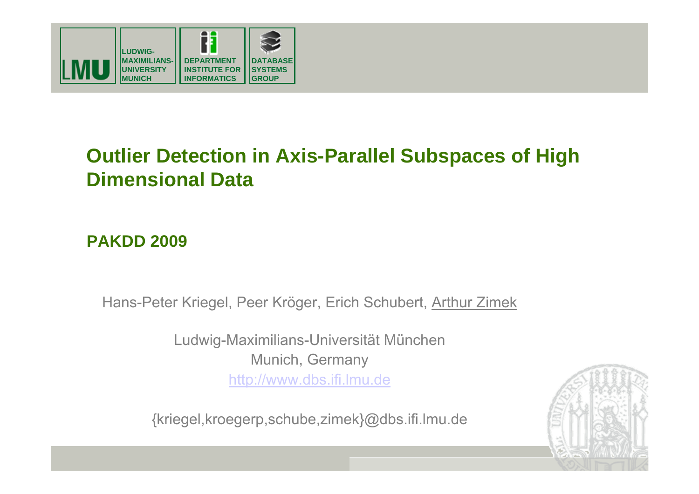

## **Outlier Detection in Axis-Parallel Subspaces of High Dimensional Data**

#### **PAKDD 2009**

Hans-Peter Kriegel, Peer Kröger, Erich Schubert, Arthur Zimek

Ludwig-Maximilians-Universität München Munich, Germany http://www.dbs.ifi.lmu.de

{kriegel,kroegerp,schube,zimek}@dbs.ifi.lmu.de

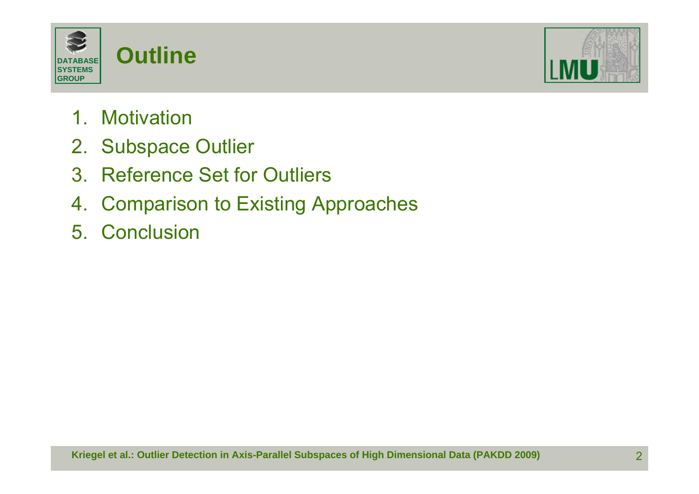



- 1. Motivation
- 2. Subspace Outlier
- 3. Reference Set for Outliers
- 4. Comparison to Existing Approaches
- 5. Conclusion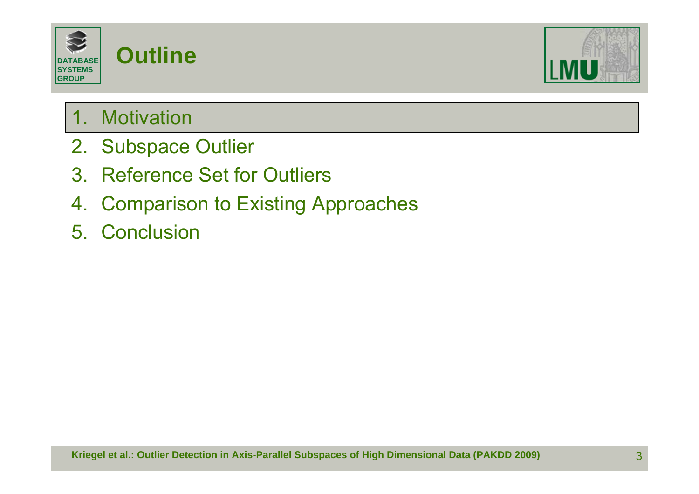



### 1. Motivation

- 2. Subspace Outlier
- 3. Reference Set for Outliers
- 4. Comparison to Existing Approaches
- 5. Conclusion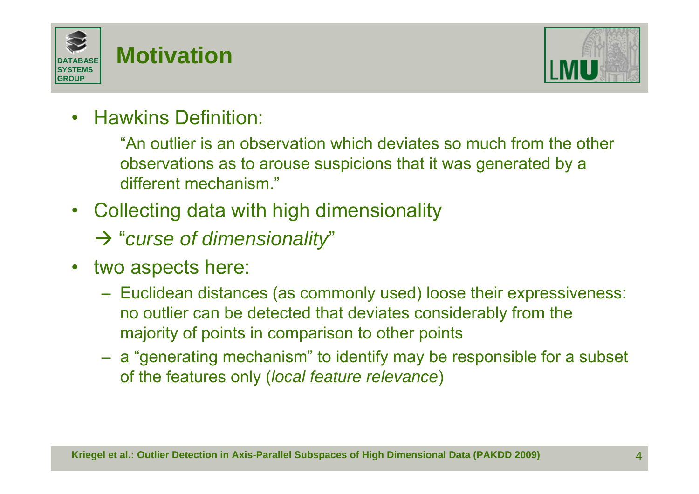



 $\bullet$ Hawkins Definition:

> "An outlier is an observation which deviates so much from the other observations as to arouse suspicions that it was generated by a different mechanism."

- $\bullet$  Collecting data with high dimensionality
	- Æ "*curse of dimensionality*"
- $\bullet$  two aspects here:
	- Euclidean distances (as commonly used) loose their expressiveness: no outlier can be detected that deviates considerably from the majority of points in comparison to other points
	- <sup>a</sup>"generating mechanism" to identify may be responsible for a subset of the features only (*local feature relevance*)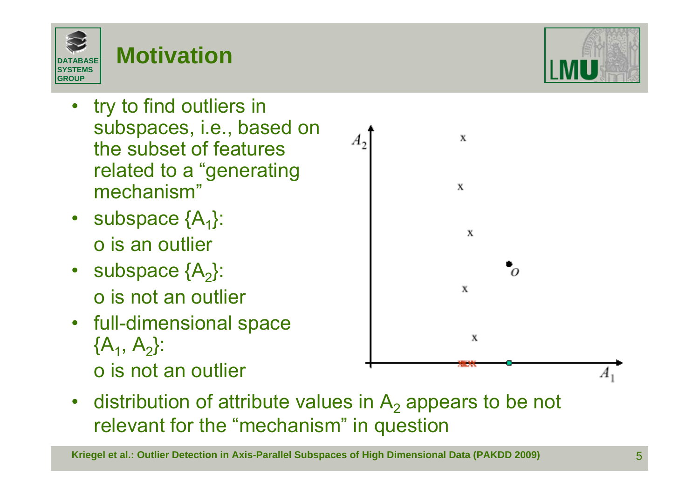

- • try to find outliers in subspaces, i.e., based on the subset of features related to a "generating mechanism"
- subspace  $\{A_1\}$ : o is an outlier
- subspace  $\{A_2\}$ : o is not an outlier
- full-dimensional space  ${A_1, A_2}$ : o is not an outlier



**Kriegel et al.: Outlier Detection in Axis-Parallel Subspaces of High Dimensional Data (PAKDD 2009)** 5



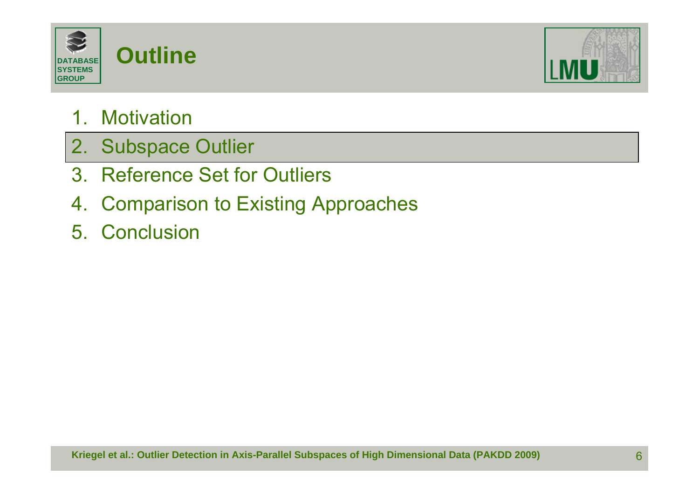



#### 1. Motivation

- 2. Subspace Outlier
- 3. Reference Set for Outliers
- 4. Comparison to Existing Approaches
- 5. Conclusion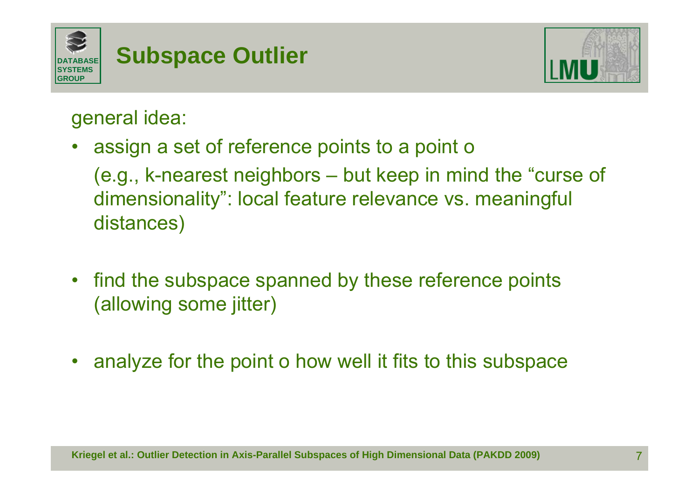



general idea:

 $\bullet$ assign a set of reference points to a point o

(e.g., k-nearest neighbors – but keep in mind the "curse of dimensionality": local feature relevance vs. meaningful distances)

- $\bullet$  find the subspace spanned by these reference points (allowing some jitter)
- $\bullet$ analyze for the point o how well it fits to this subspace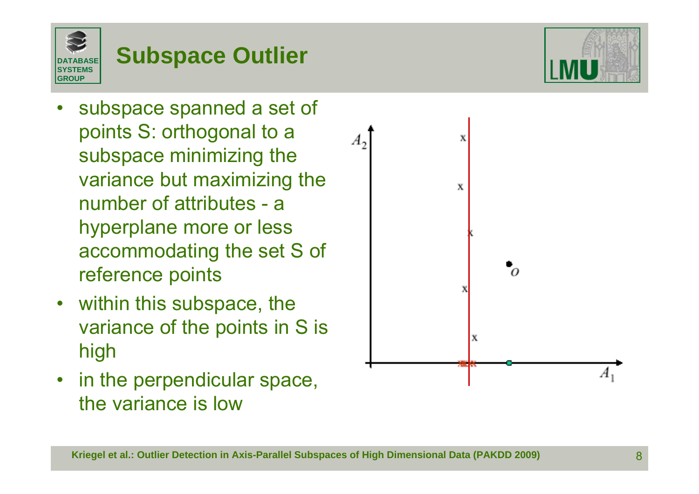

# **Subspace Outlier**

- • subspace spanned a set of points S: orthogonal to a subspace minimizing the variance but maximizing the number of attributes - a hyperplane more or less accommodating the set S of reference points
- within this subspace, the variance of the points in S is high
- $\bullet$  in the perpendicular space, the variance is low

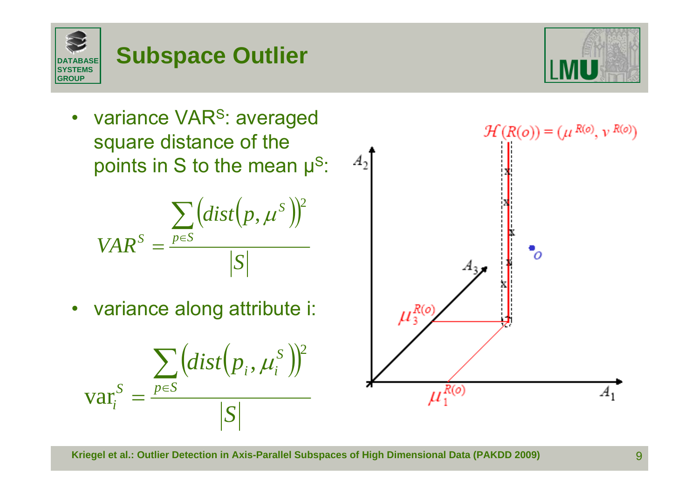$A_1$ 

•variance VAR<sup>S</sup>: averaged square distance of the points in S to the mean  $\mu$ <sup>S</sup>:

$$
VAR^{S} = \frac{\sum (dist(p, \mu^{S}))^{2}}{|S|}
$$

• variance along attribute i:

$$
\text{var}_i^S = \frac{\sum_{p \in S} \left( dist\left(p_i, \mu_i^S\right)\right)^2}{|S|}
$$

$$
\begin{array}{c}\nA_2 \\
\downarrow \\
\downarrow \\
\downarrow \\
\downarrow \\
\end{array}
$$

 $\mu_1^{R(o)}$ 



 $\mathcal{H}(R(o)) = (\mu^{R(o)}, v^{R(o)})$ 

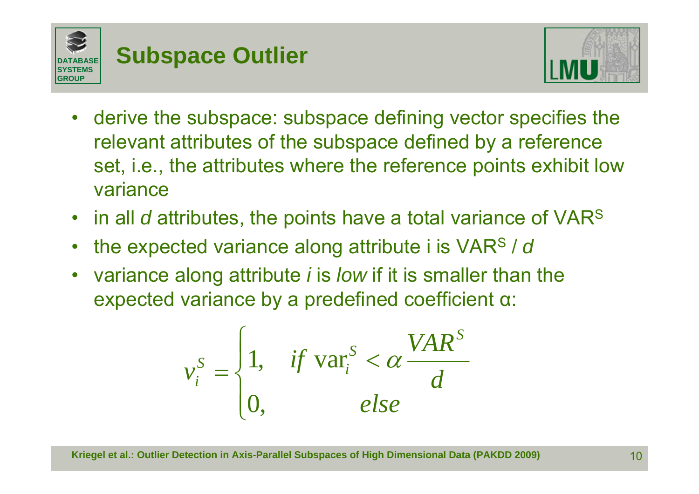



- $\bullet$  derive the subspace: subspace defining vector specifies the relevant attributes of the subspace defined by a reference set, i.e., the attributes where the reference points exhibit low variance
- in all *d* attributes, the points have a total variance of VARS
- •the expected variance along attribute i is VARS / *d*
- $\bullet$  variance along attribute *i* is *low* if it is smaller than the expected variance by a predefined coefficient <sup>α</sup>:

$$
v_i^S = \begin{cases} 1, & if \text{ var}_i^S < \alpha \frac{VAR^S}{d} \\ 0, & else \end{cases}
$$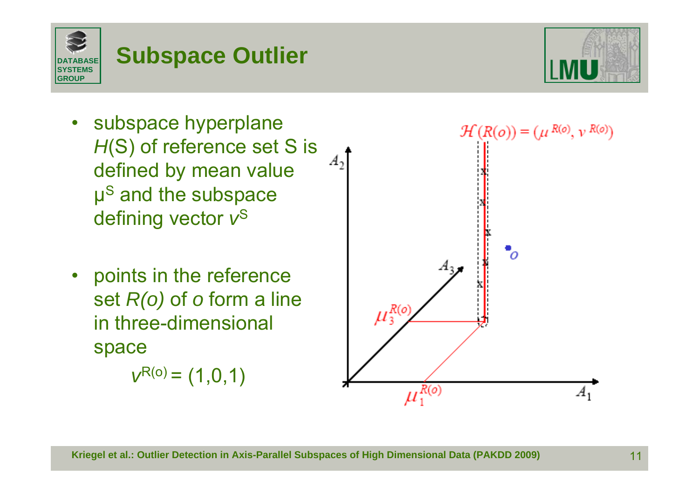$A_1$ 

 subspace hyperplane  $\bullet$ *H*(S) of reference set S is  $A_2$ defined by mean value  $\mu$ <sup>S</sup> and the subspace defining vector *v*<sup>S</sup>

**Subspace Outlier**

**DATABASESYSTEMSGROUP**

> • points in the reference set *R(o)* of *<sup>o</sup>* form a line in three-dimensional space

> > $v^{R(o)} = (1,0,1)$



 $\mu_1^{R(o)}$ 





'n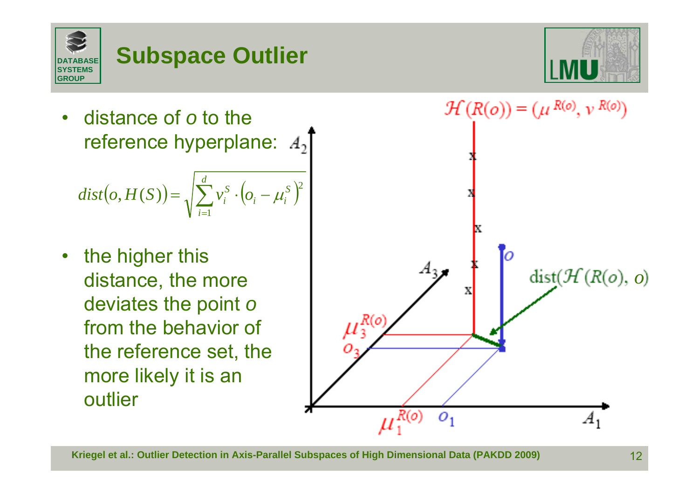



• distance of *o* to the reference hyperplane:  $A_2$ 

$$
dist(o, H(S)) = \sqrt{\sum_{i=1}^{d} v_i^S \cdot (o_i - \mu_i^S)^2}
$$

• the higher this distance, the more deviates the point *<sup>o</sup>* from the behavior of the reference set, the more likely it is an outlier

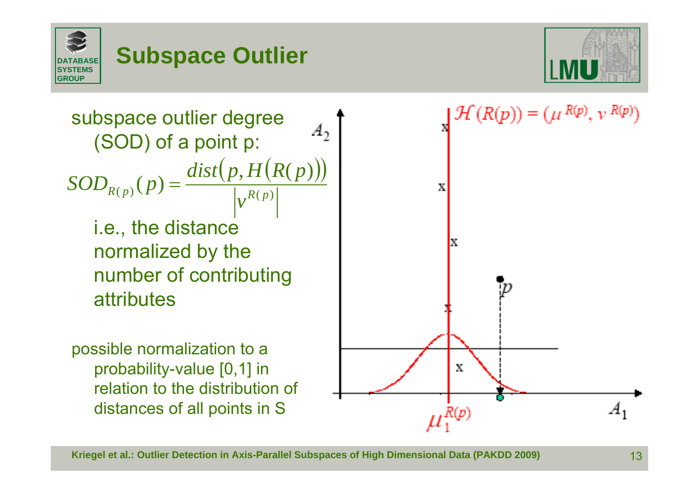





possible normalization to a probability-value [0,1] in relation to the distribution of distances of all points in S

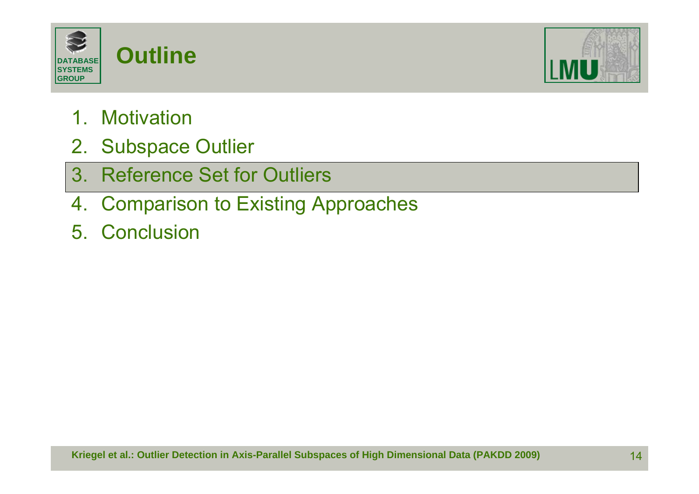



- 1. Motivation
- 2. Subspace Outlier
- 3. Reference Set for Outliers
- 4. Comparison to Existing Approaches
- 5. Conclusion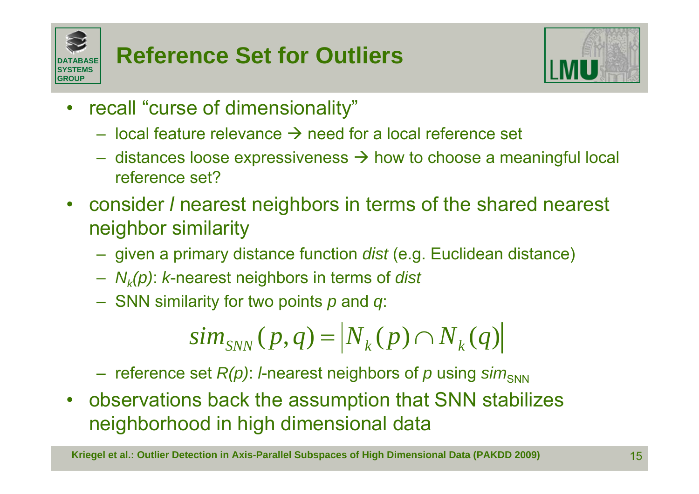



- $\bullet$  recall "curse of dimensionality"
	- local feature relevance  $\rightarrow$  need for a local reference set
	- distances loose expressiveness  $\rightarrow$  how to choose a meaningful local reference set?
- consider *l* nearest neighbors in terms of the shared nearest neighbor similarity
	- given a primary distance function *dist* (e.g. Euclidean distance)
	- *Nk(p)*: *k*-nearest neighbors in terms of *dist*
	- SNN similarity for two points *p* and *q*:

$$
sim_{SNN}(p,q) = |N_k(p) \cap N_k(q)|
$$

reference set *R(p)*: *l*-nearest neighbors of *p* using *sim*<sub>SNN</sub>

• observations back the assumption that SNN stabilizes neighborhood in high dimensional data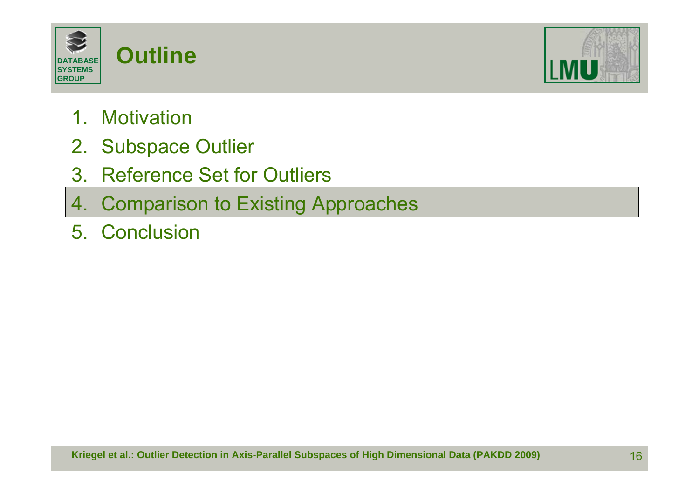



- 1. Motivation
- 2. Subspace Outlier
- 3. Reference Set for Outliers
- 4. Comparison to Existing Approaches
- 5. Conclusion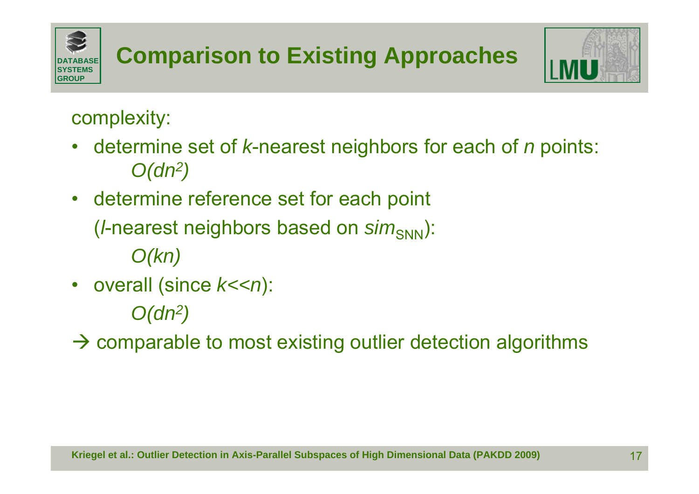

## complexity:

- $\bullet$  determine set of *k*-nearest neighbors for each of *<sup>n</sup>* points: *O(dn2)*
- determine reference set for each point

(*l*-nearest neighbors based on *sim*<sub>SNN</sub>):

*O(kn)*

•overall (since  $k<$ <n):

*O(dn2)*

 $\rightarrow$  comparable to most existing outlier detection algorithms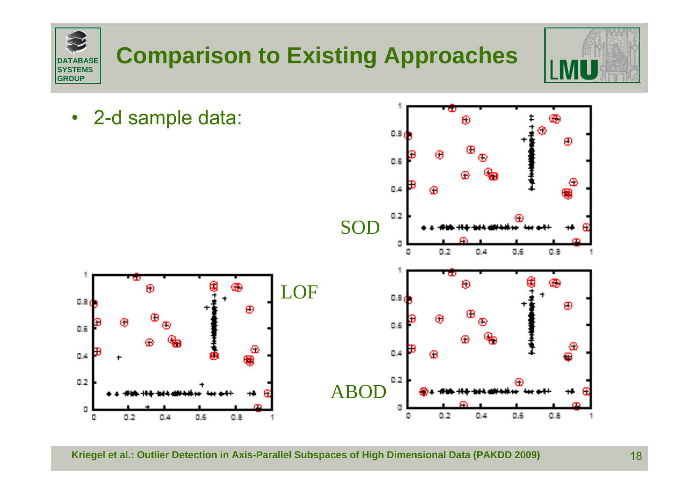

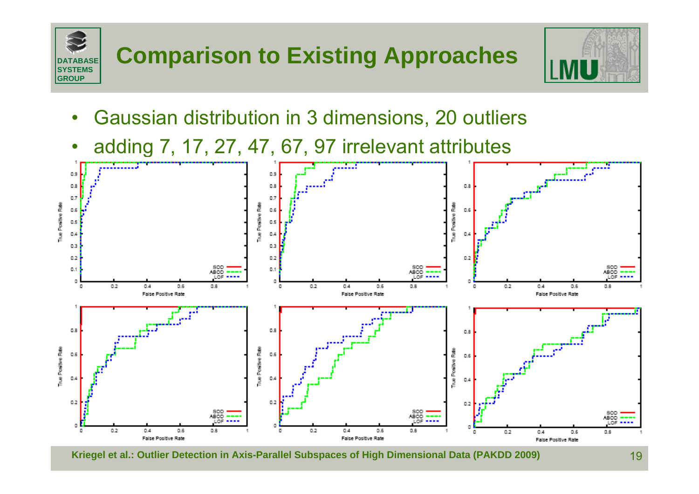

- $\bullet$ Gaussian distribution in 3 dimensions, 20 outliers
- $\bullet$ adding 7, 17, 27, 47, 67, 97 irrelevant attributes

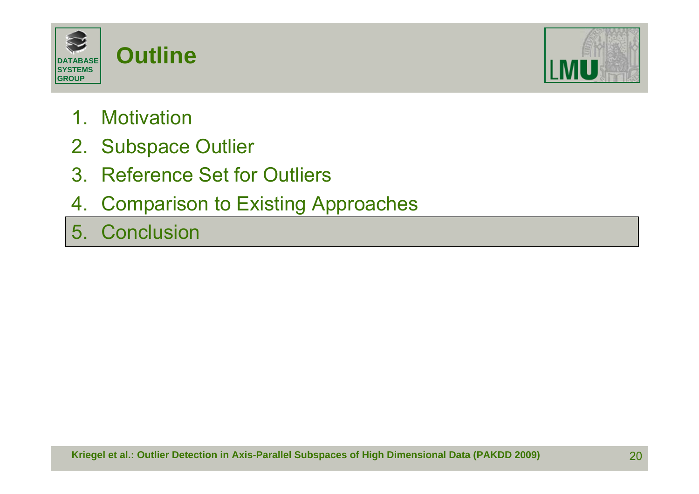



- 1. Motivation
- 2. Subspace Outlier
- 3. Reference Set for Outliers
- 4. Comparison to Existing Approaches
- 5. Conclusion